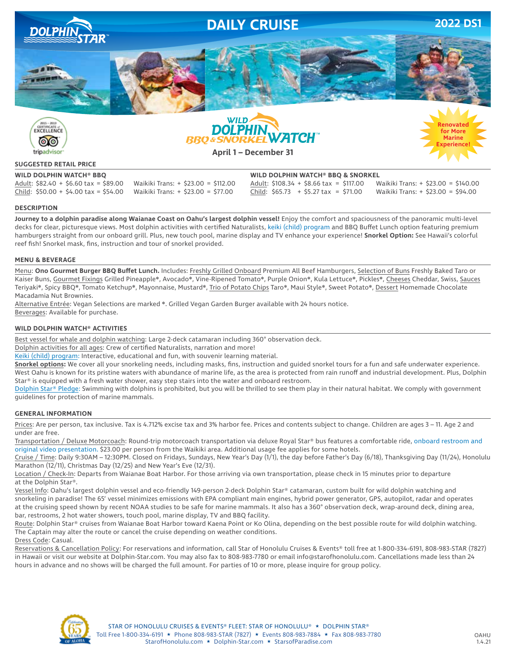

രര tripadvisor





#### **SUGGESTED RETAIL PRICE**

Adult: \$82.40 + \$6.60 tax = \$89.00 Waikiki Trans: + \$23.00 = \$112.00 Adult: \$108.34 + \$8.66 tax = \$117.00 Waikiki Trans: + \$23.00 = \$140.00 Child: \$50.00 + \$4.00 tax = \$54.00 Waikiki Trans: + \$23.00 = \$77.00 Child: \$65.73 + \$5.27 tax = \$71.00 Waikiki Trans: + \$23.00 = \$94.00

**WILD DOLPHIN WATCH® BBQ WILD DOLPHIN WATCH® BBQ & SNORKEL**

#### **DESCRIPTION**

**Journey to a dolphin paradise along Waianae Coast on Oahu's largest dolphin vessel!** Enjoy the comfort and spaciousness of the panoramic multi-level decks for clear, picturesque views. Most dolphin activities with certified Naturalists, keiki (child) program and BBQ Buffet Lunch option featuring premium hamburgers straight from our onboard grill. Plus, new touch pool, marine display and TV enhance your experience! **Snorkel Option:** See Hawaii's colorful reef fish! Snorkel mask, fins, instruction and tour of snorkel provided.

#### **MENU & BEVERAGE**

Menu: **Ono Gourmet Burger BBQ Buffet Lunch.** Includes: Freshly Grilled Onboard Premium All Beef Hamburgers, Selection of Buns Freshly Baked Taro or Kaiser Buns, Gourmet Fixings Grilled Pineapple❋, Avocado❋, Vine-Ripened Tomato❋, Purple Onion❋, Kula Lettuce❋, Pickles❋, Cheeses Cheddar, Swiss, Sauces Teriyaki<sup>∗</sup>, Spicy BBQ\*, Tomato Ketchup\*, Mayonnaise, Mustard\*, Trio of Potato Chips Taro\*, Maui Style\*, Sweet Potato\*, Dessert Homemade Chocolate Macadamia Nut Brownies.

Alternative Entrée: Vegan Selections are marked ❋. Grilled Vegan Garden Burger available with 24 hours notice. Beverages: Available for purchase.

#### **WILD DOLPHIN WATCH® ACTIVITIES**

Best vessel for whale and dolphin watching: Large 2-deck catamaran including 360° observation deck.

Dolphin activities for all ages: Crew of certified Naturalists, narration and more!

Keiki (child) program: Interactive, educational and fun, with souvenir learning material.

**Snorkel options:** We cover all your snorkeling needs, including masks, fins, instruction and guided snorkel tours for a fun and safe underwater experience. West Oahu is known for its pristine waters with abundance of marine life, as the area is protected from rain runoff and industrial development. Plus, Dolphin Star® is equipped with a fresh water shower, easy step stairs into the water and onboard restroom.

Dolphin Star® Pledge: Swimming with dolphins is prohibited, but you will be thrilled to see them play in their natural habitat. We comply with government guidelines for protection of marine mammals.

#### **GENERAL INFORMATION**

Prices: Are per person, tax inclusive. Tax is 4.712% excise tax and 3% harbor fee. Prices and contents subject to change. Children are ages 3 – 11. Age 2 and under are free.

Transportation / Deluxe Motorcoach: Round-trip motorcoach transportation via deluxe Royal Star® bus features a comfortable ride, onboard restroom and original video presentation. \$23.00 per person from the Waikiki area. Additional usage fee applies for some hotels.

Cruise / Time: Daily 9:30AM – 12:30PM. Closed on Fridays, Sundays, New Year's Day (1/1), the day before Father's Day (6/18), Thanksgiving Day (11/24), Honolulu Marathon (12/11), Christmas Day (12/25) and New Year's Eve (12/31).

Location / Check-In: Departs from Waianae Boat Harbor. For those arriving via own transportation, please check in 15 minutes prior to departure at the Dolphin Star®.

Vessel Info: Oahu's largest dolphin vessel and eco-friendly 149-person 2-deck Dolphin Star® catamaran, custom built for wild dolphin watching and snorkeling in paradise! The 65' vessel minimizes emissions with EPA compliant main engines, hybrid power generator, GPS, autopilot, radar and operates at the cruising speed shown by recent NOAA studies to be safe for marine mammals. It also has a 360° observation deck, wrap-around deck, dining area, bar, restrooms, 2 hot water showers, touch pool, marine display, TV and BBQ facility.

Route: Dolphin Star® cruises from Waianae Boat Harbor toward Kaena Point or Ko Olina, depending on the best possible route for wild dolphin watching. The Captain may alter the route or cancel the cruise depending on weather conditions.

Dress Code: Casual.

Reservations & Cancellation Policy: For reservations and information, call Star of Honolulu Cruises & Events® toll free at 1-800-334-6191, 808-983-STAR (7827) in Hawaii or visit our website at Dolphin-Star.com. You may also fax to 808-983-7780 or email info@starofhonolulu.com. Cancellations made less than 24 hours in advance and no shows will be charged the full amount. For parties of 10 or more, please inquire for group policy.